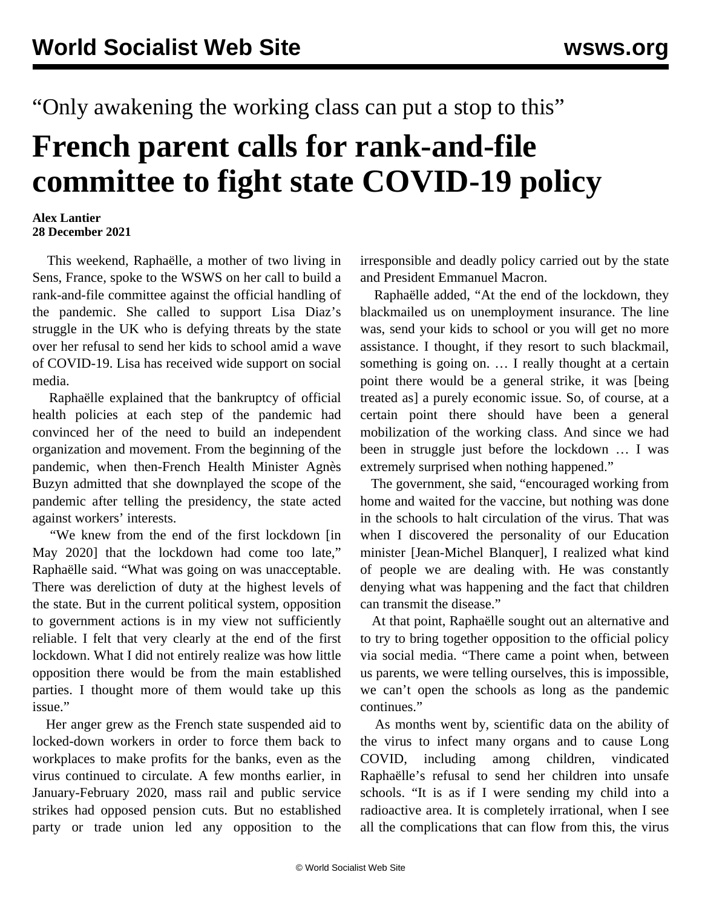## "Only awakening the working class can put a stop to this"

## **French parent calls for rank-and-file committee to fight state COVID-19 policy**

## **Alex Lantier 28 December 2021**

 This weekend, Raphaëlle, a mother of two living in Sens, France, spoke to the WSWS on her call to build a rank-and-file committee against the official handling of the pandemic. She called to support Lisa Diaz's struggle in the UK who is defying threats by the state over her refusal to send her kids to school amid a wave of COVID-19. Lisa has received wide support on social media.

 Raphaëlle explained that the bankruptcy of official health policies at each step of the pandemic had convinced her of the need to build an independent organization and movement. From the beginning of the pandemic, when then-French Health Minister Agnès Buzyn admitted that she downplayed the scope of the pandemic after telling the presidency, the state acted against workers' interests.

 "We knew from the end of the first lockdown [in May 2020] that the lockdown had come too late," Raphaëlle said. "What was going on was unacceptable. There was dereliction of duty at the highest levels of the state. But in the current political system, opposition to government actions is in my view not sufficiently reliable. I felt that very clearly at the end of the first lockdown. What I did not entirely realize was how little opposition there would be from the main established parties. I thought more of them would take up this issue."

 Her anger grew as the French state suspended aid to locked-down workers in order to force them back to workplaces to make profits for the banks, even as the virus continued to circulate. A few months earlier, in January-February 2020, mass rail and public service strikes had opposed pension cuts. But no established party or trade union led any opposition to the irresponsible and deadly policy carried out by the state and President Emmanuel Macron.

 Raphaëlle added, "At the end of the lockdown, they blackmailed us on unemployment insurance. The line was, send your kids to school or you will get no more assistance. I thought, if they resort to such blackmail, something is going on. ... I really thought at a certain point there would be a general strike, it was [being treated as] a purely economic issue. So, of course, at a certain point there should have been a general mobilization of the working class. And since we had been in struggle just before the lockdown … I was extremely surprised when nothing happened."

 The government, she said, "encouraged working from home and waited for the vaccine, but nothing was done in the schools to halt circulation of the virus. That was when I discovered the personality of our Education minister [Jean-Michel Blanquer], I realized what kind of people we are dealing with. He was constantly denying what was happening and the fact that children can transmit the disease."

 At that point, Raphaëlle sought out an alternative and to try to bring together opposition to the official policy via social media. "There came a point when, between us parents, we were telling ourselves, this is impossible, we can't open the schools as long as the pandemic continues."

 As months went by, scientific data on the ability of the virus to infect many organs and to cause Long COVID, including among children, vindicated Raphaëlle's refusal to send her children into unsafe schools. "It is as if I were sending my child into a radioactive area. It is completely irrational, when I see all the complications that can flow from this, the virus